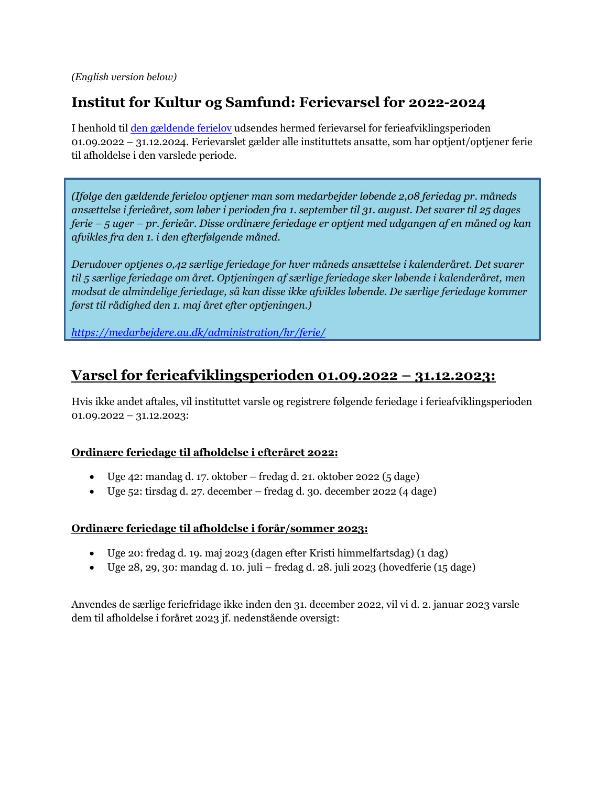*(English version below)*

# **Institut for Kultur og Samfund: Ferievarsel for 2022-2024**

I henhold ti[l den gældende](https://medarbejdere.au.dk/administration/hr/ferie/) ferielov udsendes hermed ferievarsel for ferieafviklingsperioden 01.09.2022 – 31.12.2024. Ferievarslet gælder alle instituttets ansatte, som har optjent/optjener ferie til afholdelse i den varslede periode.

*(Ifølge den gældende ferielov optjener man som medarbejder løbende 2,08 feriedag pr. måneds ansættelse i ferieåret, som løber i perioden fra 1. september til 31. august. Det svarer til 25 dages ferie – 5 uger – pr. ferieår. Disse ordinære feriedage er optjent med udgangen af en måned og kan afvikles fra den 1. i den efterfølgende måned.* 

*Derudover optjenes 0,42 særlige feriedage for hver måneds ansættelse i kalenderåret. Det svarer til 5 særlige feriedage om året. Optjeningen af særlige feriedage sker løbende i kalenderåret, men modsat de almindelige feriedage, så kan disse ikke afvikles løbende. De særlige feriedage kommer først til rådighed den 1. maj året efter optjeningen.)*

*<https://medarbejdere.au.dk/administration/hr/ferie/>*

# **Varsel for ferieafviklingsperioden 01.09.2022 – 31.12.2023:**

Hvis ikke andet aftales, vil instituttet varsle og registrere følgende feriedage i ferieafviklingsperioden  $01.09.2022 - 31.12.2023$ 

## **Ordinære feriedage til afholdelse i efteråret 2022:**

- Uge 42: mandag d. 17. oktober fredag d. 21. oktober 2022 (5 dage)
- Uge 52: tirsdag d. 27. december fredag d. 30. december 2022 (4 dage)

### **Ordinære feriedage til afholdelse i forår/sommer 2023:**

- Uge 20: fredag d. 19. maj 2023 (dagen efter Kristi himmelfartsdag) (1 dag)
- Uge 28, 29, 30: mandag d. 10. juli fredag d. 28. juli 2023 (hovedferie  $(15 \text{ dage})$

Anvendes de særlige feriefridage ikke inden den 31. december 2022, vil vi d. 2. januar 2023 varsle dem til afholdelse i foråret 2023 jf. nedenstående oversigt: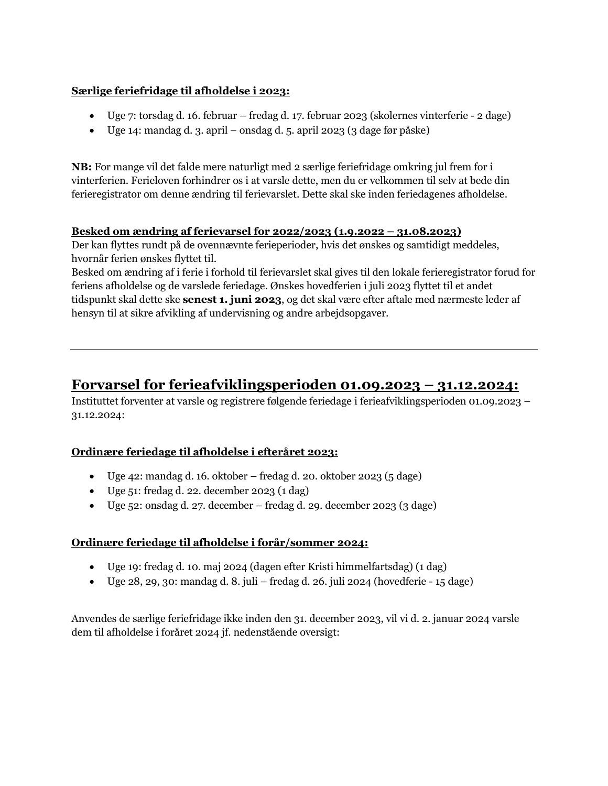### **Særlige feriefridage til afholdelse i 2023:**

- Uge 7: torsdag d. 16. februar fredag d. 17. februar 2023 (skolernes vinterferie 2 dage)
- Uge 14: mandag d. 3. april onsdag d. 5. april 2023 (3 dage før påske)

**NB:** For mange vil det falde mere naturligt med 2 særlige feriefridage omkring jul frem for i vinterferien. Ferieloven forhindrer os i at varsle dette, men du er velkommen til selv at bede din ferieregistrator om denne ændring til ferievarslet. Dette skal ske inden feriedagenes afholdelse.

### **Besked om ændring af ferievarsel for 2022/2023 (1.9.2022 – 31.08.2023)**

Der kan flyttes rundt på de ovennævnte ferieperioder, hvis det ønskes og samtidigt meddeles, hvornår ferien ønskes flyttet til.

Besked om ændring af i ferie i forhold til ferievarslet skal gives til den lokale ferieregistrator forud for feriens afholdelse og de varslede feriedage. Ønskes hovedferien i juli 2023 flyttet til et andet tidspunkt skal dette ske **senest 1. juni 2023**, og det skal være efter aftale med nærmeste leder af hensyn til at sikre afvikling af undervisning og andre arbejdsopgaver.

## **Forvarsel for ferieafviklingsperioden 01.09.2023 – 31.12.2024:**

Instituttet forventer at varsle og registrere følgende feriedage i ferieafviklingsperioden 01.09.2023 – 31.12.2024:

## **Ordinære feriedage til afholdelse i efteråret 2023:**

- Uge 42: mandag d. 16. oktober fredag d. 20. oktober 2023 (5 dage)
- Uge 51: fredag d. 22. december 2023 (1 dag)
- Uge  $52$ : onsdag d. 27. december fredag d. 29. december 2023 (3 dage)

## **Ordinære feriedage til afholdelse i forår/sommer 2024:**

- Uge 19: fredag d. 10. maj 2024 (dagen efter Kristi himmelfartsdag) (1 dag)
- Uge 28, 29, 30: mandag d. 8. juli fredag d. 26. juli 2024 (hovedferie 15 dage)

Anvendes de særlige feriefridage ikke inden den 31. december 2023, vil vi d. 2. januar 2024 varsle dem til afholdelse i foråret 2024 jf. nedenstående oversigt: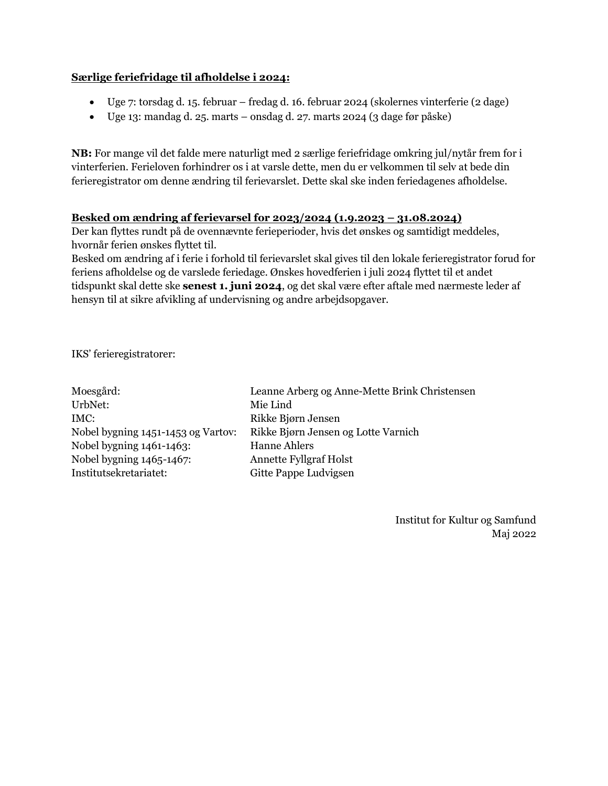### **Særlige feriefridage til afholdelse i 2024:**

- Uge 7: torsdag d. 15. februar fredag d. 16. februar 2024 (skolernes vinterferie (2 dage)
- Uge 13: mandag d. 25. marts onsdag d. 27. marts 2024 (3 dage før påske)

**NB:** For mange vil det falde mere naturligt med 2 særlige feriefridage omkring jul/nytår frem for i vinterferien. Ferieloven forhindrer os i at varsle dette, men du er velkommen til selv at bede din ferieregistrator om denne ændring til ferievarslet. Dette skal ske inden feriedagenes afholdelse.

### **Besked om ændring af ferievarsel for 2023/2024 (1.9.2023 – 31.08.2024)**

Der kan flyttes rundt på de ovennævnte ferieperioder, hvis det ønskes og samtidigt meddeles, hvornår ferien ønskes flyttet til.

Besked om ændring af i ferie i forhold til ferievarslet skal gives til den lokale ferieregistrator forud for feriens afholdelse og de varslede feriedage. Ønskes hovedferien i juli 2024 flyttet til et andet tidspunkt skal dette ske **senest 1. juni 2024**, og det skal være efter aftale med nærmeste leder af hensyn til at sikre afvikling af undervisning og andre arbejdsopgaver.

IKS' ferieregistratorer:

| Moesgård:                          | Leanne Arberg og Anne-Mette Brink Christensen |
|------------------------------------|-----------------------------------------------|
| UrbNet:                            | Mie Lind                                      |
| IMC:                               | Rikke Bjørn Jensen                            |
| Nobel bygning 1451-1453 og Vartov: | Rikke Bjørn Jensen og Lotte Varnich           |
| Nobel bygning 1461-1463:           | <b>Hanne Ahlers</b>                           |
| Nobel bygning 1465-1467:           | <b>Annette Fyllgraf Holst</b>                 |
| Institutsekretariatet:             | Gitte Pappe Ludvigsen                         |
|                                    |                                               |

Institut for Kultur og Samfund Maj 2022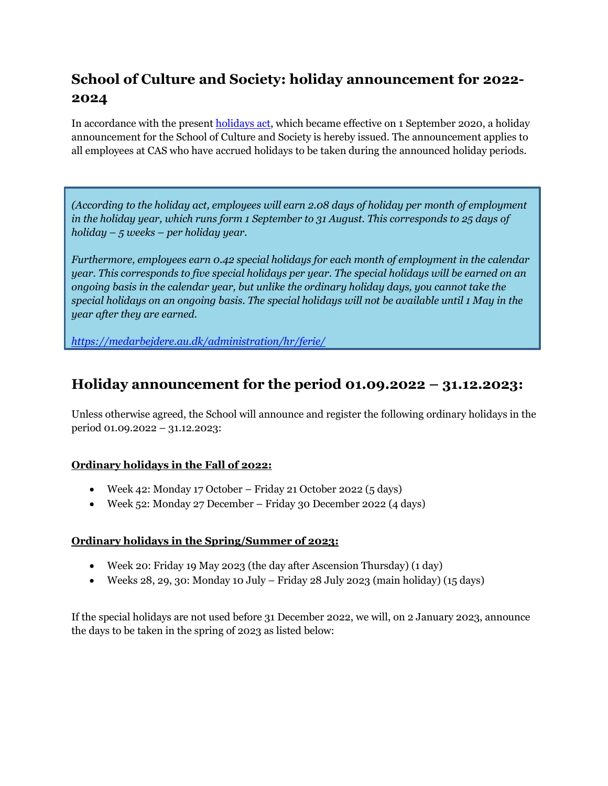# **School of Culture and Society: holiday announcement for 2022- 2024**

In accordance with the present **holidays act**, which became effective on 1 September 2020, a holiday announcement for the School of Culture and Society is hereby issued. The announcement applies to all employees at CAS who have accrued holidays to be taken during the announced holiday periods.

*(According to the holiday act, employees will earn 2.08 days of holiday per month of employment in the holiday year, which runs form 1 September to 31 August. This corresponds to 25 days of holiday – 5 weeks – per holiday year.*

*Furthermore, employees earn 0.42 special holidays for each month of employment in the calendar year. This corresponds to five special holidays per year. The special holidays will be earned on an ongoing basis in the calendar year, but unlike the ordinary holiday days, you cannot take the special holidays on an ongoing basis. The special holidays will not be available until 1 May in the year after they are earned.* 

*[https://medarbejdere.au.dk/administration/hr/ferie/](https://medarbejdere.au.dk/en/administration/hr/holiday/)*

## **Holiday announcement for the period 01.09.2022 – 31.12.2023:**

Unless otherwise agreed, the School will announce and register the following ordinary holidays in the period 01.09.2022 – 31.12.2023:

## **Ordinary holidays in the Fall of 2022:**

- Week 42: Monday 17 October Friday 21 October 2022 (5 days)
- Week 52: Monday 27 December Friday 30 December 2022 (4 days)

### **Ordinary holidays in the Spring/Summer of 2023:**

- Week 20: Friday 19 May 2023 (the day after Ascension Thursday) (1 day)
- Weeks 28, 29, 30: Monday 10 July Friday 28 July 2023 (main holiday) (15 days)

If the special holidays are not used before 31 December 2022, we will, on 2 January 2023, announce the days to be taken in the spring of 2023 as listed below: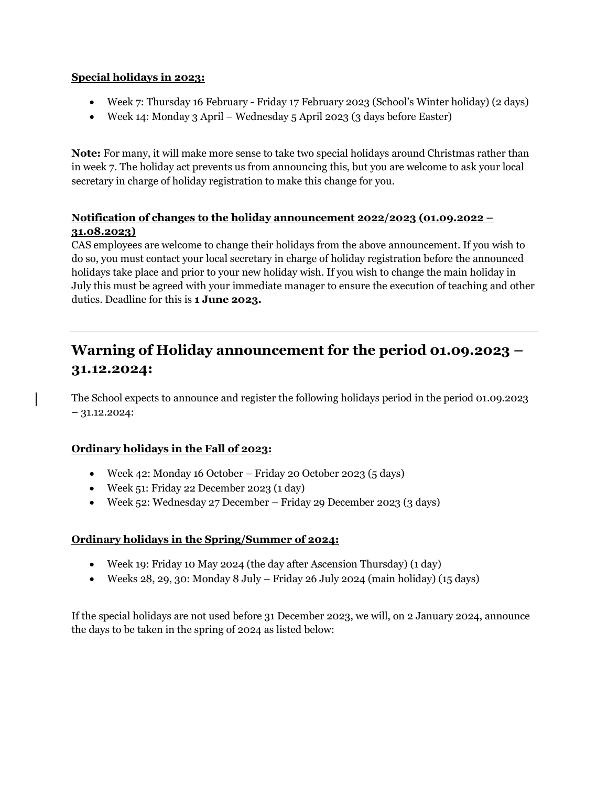### **Special holidays in 2023:**

- Week 7: Thursday 16 February Friday 17 February 2023 (School's Winter holiday) (2 days)
- Week 14: Monday 3 April Wednesday 5 April 2023 (3 days before Easter)

**Note:** For many, it will make more sense to take two special holidays around Christmas rather than in week 7. The holiday act prevents us from announcing this, but you are welcome to ask your local secretary in charge of holiday registration to make this change for you.

## **Notification of changes to the holiday announcement 2022/2023 (01.09.2022 – 31.08.2023)**

CAS employees are welcome to change their holidays from the above announcement. If you wish to do so, you must contact your local secretary in charge of holiday registration before the announced holidays take place and prior to your new holiday wish. If you wish to change the main holiday in July this must be agreed with your immediate manager to ensure the execution of teaching and other duties. Deadline for this is **1 June 2023.** 

# **Warning of Holiday announcement for the period 01.09.2023 – 31.12.2024:**

The School expects to announce and register the following holidays period in the period 01.09.2023 – 31.12.2024:

## **Ordinary holidays in the Fall of 2023:**

- Week 42: Monday 16 October Friday 20 October 2023 (5 days)
- Week 51: Friday 22 December 2023 (1 day)
- Week 52: Wednesday 27 December Friday 29 December 2023 (3 days)

## **Ordinary holidays in the Spring/Summer of 2024:**

- Week 19: Friday 10 May 2024 (the day after Ascension Thursday) (1 day)
- Weeks 28, 29, 30: Monday 8 July Friday 26 July 2024 (main holiday)  $(15 \text{ days})$

If the special holidays are not used before 31 December 2023, we will, on 2 January 2024, announce the days to be taken in the spring of 2024 as listed below: